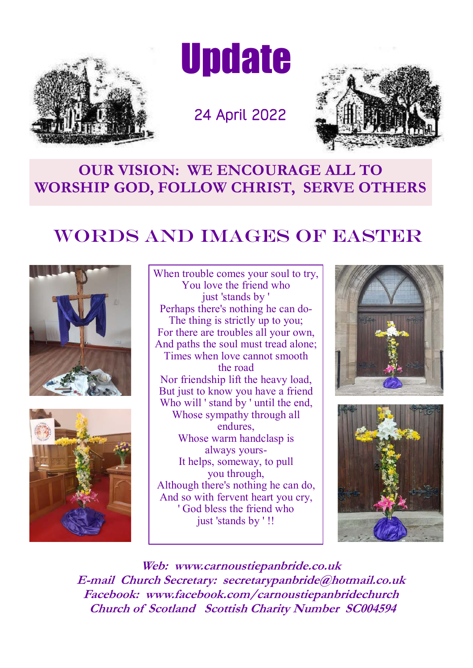

**Update** 

24 April 2022



## **OUR VISION: WE ENCOURAGE ALL TO WORSHIP GOD, FOLLOW CHRIST, SERVE OTHERS**

# WORDS AND IMAGES OF EASTER





When trouble comes your soul to try, You love the friend who just 'stands by ' Perhaps there's nothing he can do-The thing is strictly up to you; For there are troubles all your own, And paths the soul must tread alone; Times when love cannot smooth the road Nor friendship lift the heavy load, But just to know you have a friend Who will 'stand by ' until the end, Whose sympathy through all endures, Whose warm handclasp is always yours-It helps, someway, to pull you through, Although there's nothing he can do, And so with fervent heart you cry, ' God bless the friend who just 'stands by ' !!





**Web: www.carnoustiepanbride.co.uk E-mail Church Secretary: secretarypanbride@hotmail.co.uk Facebook: www.facebook.com/carnoustiepanbridechurch Church of Scotland Scottish Charity Number SC004594**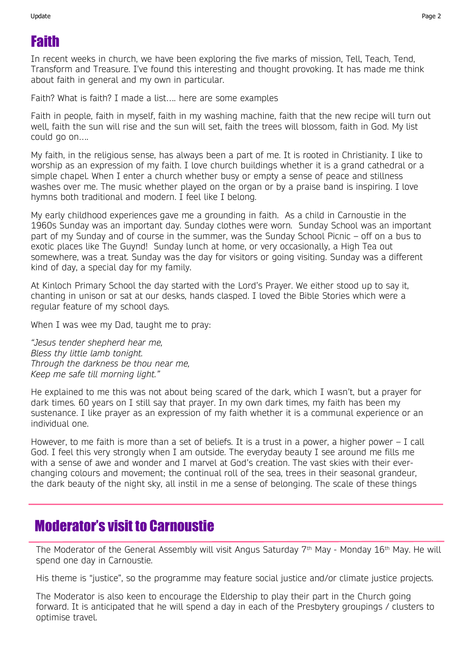## Faith

In recent weeks in church, we have been exploring the five marks of mission, Tell, Teach, Tend, Transform and Treasure. I've found this interesting and thought provoking. It has made me think about faith in general and my own in particular.

Faith? What is faith? I made a list…. here are some examples

Faith in people, faith in myself, faith in my washing machine, faith that the new recipe will turn out well, faith the sun will rise and the sun will set, faith the trees will blossom, faith in God. My list could go on….

My faith, in the religious sense, has always been a part of me. It is rooted in Christianity. I like to worship as an expression of my faith. I love church buildings whether it is a grand cathedral or a simple chapel. When I enter a church whether busy or empty a sense of peace and stillness washes over me. The music whether played on the organ or by a praise band is inspiring. I love hymns both traditional and modern. I feel like I belong.

My early childhood experiences gave me a grounding in faith. As a child in Carnoustie in the 1960s Sunday was an important day. Sunday clothes were worn. Sunday School was an important part of my Sunday and of course in the summer, was the Sunday School Picnic – off on a bus to exotic places like The Guynd! Sunday lunch at home, or very occasionally, a High Tea out somewhere, was a treat. Sunday was the day for visitors or going visiting. Sunday was a different kind of day, a special day for my family.

At Kinloch Primary School the day started with the Lord's Prayer. We either stood up to say it, chanting in unison or sat at our desks, hands clasped. I loved the Bible Stories which were a regular feature of my school days.

When I was wee my Dad, taught me to pray:

*"Jesus tender shepherd hear me, Bless thy little lamb tonight. Through the darkness be thou near me, Keep me safe till morning light."* 

He explained to me this was not about being scared of the dark, which I wasn't, but a prayer for dark times. 60 years on I still say that prayer. In my own dark times, my faith has been my sustenance. I like prayer as an expression of my faith whether it is a communal experience or an individual one.

However, to me faith is more than a set of beliefs. It is a trust in a power, a higher power – I call God. I feel this very strongly when I am outside. The everyday beauty I see around me fills me with a sense of awe and wonder and I marvel at God's creation. The vast skies with their everchanging colours and movement; the continual roll of the sea, trees in their seasonal grandeur, the dark beauty of the night sky, all instil in me a sense of belonging. The scale of these things

#### Moderator's visit to Carnoustie

The Moderator of the General Assembly will visit Angus Saturday 7<sup>th</sup> May - Monday 16<sup>th</sup> May. He will spend one day in Carnoustie.

His theme is "justice", so the programme may feature social justice and/or climate justice projects.

The Moderator is also keen to encourage the Eldership to play their part in the Church going forward. It is anticipated that he will spend a day in each of the Presbytery groupings / clusters to optimise travel.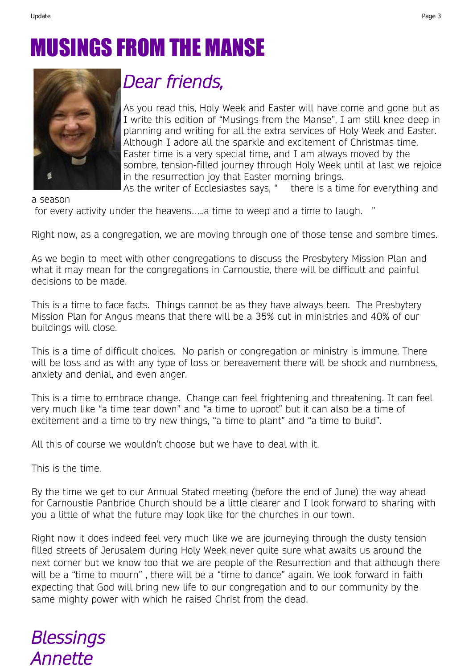# MUSINGS FROM THE MANSE



# *Dear friends,*

As you read this, Holy Week and Easter will have come and gone but as I write this edition of "Musings from the Manse", I am still knee deep in planning and writing for all the extra services of Holy Week and Easter. Although I adore all the sparkle and excitement of Christmas time, Easter time is a very special time, and I am always moved by the sombre, tension-filled journey through Holy Week until at last we rejoice in the resurrection joy that Easter morning brings.

As the writer of Ecclesiastes says, " there is a time for everything and

a season

for every activity under the heavens…..a time to weep and a time to laugh. "

Right now, as a congregation, we are moving through one of those tense and sombre times.

As we begin to meet with other congregations to discuss the Presbytery Mission Plan and what it may mean for the congregations in Carnoustie, there will be difficult and painful decisions to be made.

This is a time to face facts. Things cannot be as they have always been. The Presbytery Mission Plan for Angus means that there will be a 35% cut in ministries and 40% of our buildings will close.

This is a time of difficult choices. No parish or congregation or ministry is immune. There will be loss and as with any type of loss or bereavement there will be shock and numbness, anxiety and denial, and even anger.

This is a time to embrace change. Change can feel frightening and threatening. It can feel very much like "a time tear down" and "a time to uproot" but it can also be a time of excitement and a time to try new things, "a time to plant" and "a time to build".

All this of course we wouldn't choose but we have to deal with it.

This is the time.

By the time we get to our Annual Stated meeting (before the end of June) the way ahead for Carnoustie Panbride Church should be a little clearer and I look forward to sharing with you a little of what the future may look like for the churches in our town.

Right now it does indeed feel very much like we are journeying through the dusty tension filled streets of Jerusalem during Holy Week never quite sure what awaits us around the next corner but we know too that we are people of the Resurrection and that although there will be a "time to mourn" , there will be a "time to dance" again. We look forward in faith expecting that God will bring new life to our congregation and to our community by the same mighty power with which he raised Christ from the dead.

# *Blessings Annette*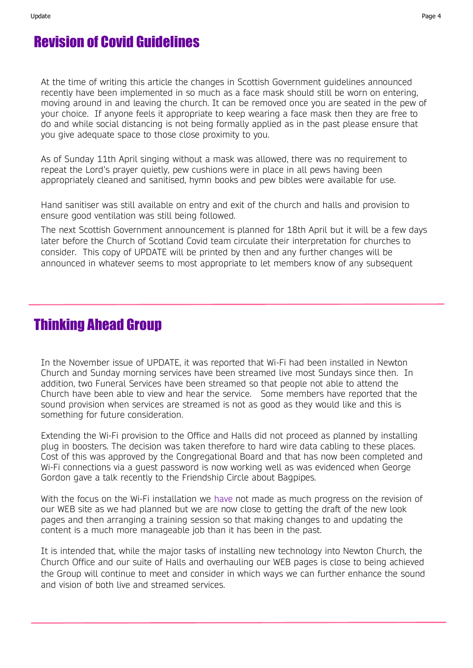## Revision of Covid Guidelines

At the time of writing this article the changes in Scottish Government guidelines announced recently have been implemented in so much as a face mask should still be worn on entering, moving around in and leaving the church. It can be removed once you are seated in the pew of your choice. If anyone feels it appropriate to keep wearing a face mask then they are free to do and while social distancing is not being formally applied as in the past please ensure that you give adequate space to those close proximity to you.

As of Sunday 11th April singing without a mask was allowed, there was no requirement to repeat the Lord's prayer quietly, pew cushions were in place in all pews having been appropriately cleaned and sanitised, hymn books and pew bibles were available for use.

Hand sanitiser was still available on entry and exit of the church and halls and provision to ensure good ventilation was still being followed.

The next Scottish Government announcement is planned for 18th April but it will be a few days later before the Church of Scotland Covid team circulate their interpretation for churches to consider. This copy of UPDATE will be printed by then and any further changes will be announced in whatever seems to most appropriate to let members know of any subsequent

#### Thinking Ahead Group

In the November issue of UPDATE, it was reported that Wi-Fi had been installed in Newton Church and Sunday morning services have been streamed live most Sundays since then. In addition, two Funeral Services have been streamed so that people not able to attend the Church have been able to view and hear the service. Some members have reported that the sound provision when services are streamed is not as good as they would like and this is something for future consideration.

Extending the Wi-Fi provision to the Office and Halls did not proceed as planned by installing plug in boosters. The decision was taken therefore to hard wire data cabling to these places. Cost of this was approved by the Congregational Board and that has now been completed and Wi-Fi connections via a guest password is now working well as was evidenced when George Gordon gave a talk recently to the Friendship Circle about Bagpipes.

With the focus on the Wi-Fi installation we have not made as much progress on the revision of our WEB site as we had planned but we are now close to getting the draft of the new look pages and then arranging a training session so that making changes to and updating the content is a much more manageable job than it has been in the past.

It is intended that, while the major tasks of installing new technology into Newton Church, the Church Office and our suite of Halls and overhauling our WEB pages is close to being achieved the Group will continue to meet and consider in which ways we can further enhance the sound and vision of both live and streamed services.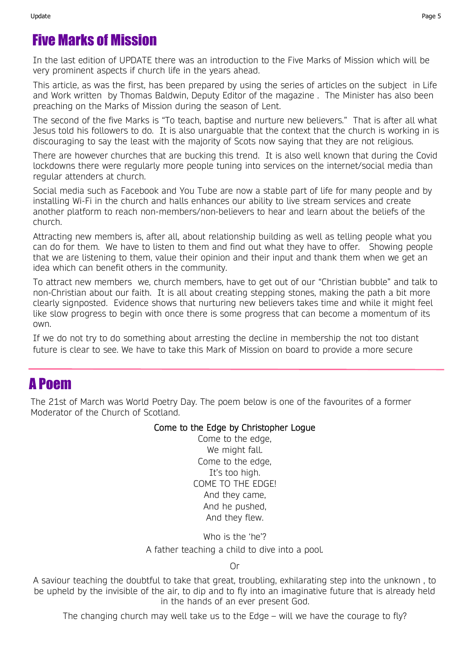### Five Marks of Mission

In the last edition of UPDATE there was an introduction to the Five Marks of Mission which will be very prominent aspects if church life in the years ahead.

This article, as was the first, has been prepared by using the series of articles on the subject in Life and Work written by Thomas Baldwin, Deputy Editor of the magazine . The Minister has also been preaching on the Marks of Mission during the season of Lent.

The second of the five Marks is "To teach, baptise and nurture new believers." That is after all what Jesus told his followers to do. It is also unarguable that the context that the church is working in is discouraging to say the least with the majority of Scots now saying that they are not religious.

There are however churches that are bucking this trend. It is also well known that during the Covid lockdowns there were regularly more people tuning into services on the internet/social media than regular attenders at church.

Social media such as Facebook and You Tube are now a stable part of life for many people and by installing Wi-Fi in the church and halls enhances our ability to live stream services and create another platform to reach non-members/non-believers to hear and learn about the beliefs of the church.

Attracting new members is, after all, about relationship building as well as telling people what you can do for them. We have to listen to them and find out what they have to offer. Showing people that we are listening to them, value their opinion and their input and thank them when we get an idea which can benefit others in the community.

To attract new members we, church members, have to get out of our "Christian bubble" and talk to non-Christian about our faith. It is all about creating stepping stones, making the path a bit more clearly signposted. Evidence shows that nurturing new believers takes time and while it might feel like slow progress to begin with once there is some progress that can become a momentum of its own.

If we do not try to do something about arresting the decline in membership the not too distant future is clear to see. We have to take this Mark of Mission on board to provide a more secure

#### A Poem

The 21st of March was World Poetry Day. The poem below is one of the favourites of a former Moderator of the Church of Scotland.

#### Come to the Edge by Christopher Logue

Come to the edge, We might fall. Come to the edge, It's too high. COME TO THE EDGE! And they came, And he pushed, And they flew.

Who is the 'he'? A father teaching a child to dive into a pool.

Or

A saviour teaching the doubtful to take that great, troubling, exhilarating step into the unknown , to be upheld by the invisible of the air, to dip and to fly into an imaginative future that is already held in the hands of an ever present God.

The changing church may well take us to the Edge – will we have the courage to fly?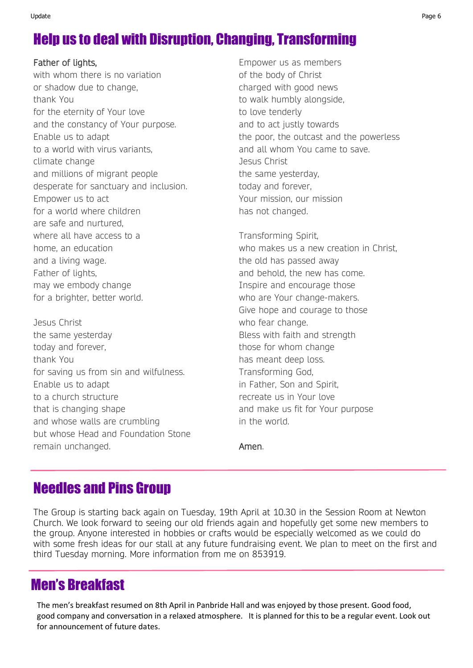# Help us to deal with Disruption, Changing, Transforming

Father of lights,

with whom there is no variation or shadow due to change, thank You for the eternity of Your love and the constancy of Your purpose. Enable us to adapt to a world with virus variants, climate change and millions of migrant people desperate for sanctuary and inclusion. Empower us to act for a world where children are safe and nurtured, where all have access to a home, an education and a living wage. Father of lights, may we embody change for a brighter, better world.

Jesus Christ the same yesterday today and forever, thank You for saving us from sin and wilfulness. Enable us to adapt to a church structure that is changing shape and whose walls are crumbling but whose Head and Foundation Stone remain unchanged.

Empower us as members of the body of Christ charged with good news to walk humbly alongside, to love tenderly and to act justly towards the poor, the outcast and the powerless and all whom You came to save. Jesus Christ the same yesterday, today and forever, Your mission, our mission has not changed.

Transforming Spirit, who makes us a new creation in Christ, the old has passed away and behold, the new has come. Inspire and encourage those who are Your change-makers. Give hope and courage to those who fear change. Bless with faith and strength those for whom change has meant deep loss. Transforming God, in Father, Son and Spirit, recreate us in Your love and make us fit for Your purpose in the world.

Amen.

## Needles and Pins Group

The Group is starting back again on Tuesday, 19th April at 10.30 in the Session Room at Newton Church. We look forward to seeing our old friends again and hopefully get some new members to the group. Anyone interested in hobbies or crafts would be especially welcomed as we could do with some fresh ideas for our stall at any future fundraising event. We plan to meet on the first and third Tuesday morning. More information from me on 853919.

#### Men's Breakfast

The men's breakfast resumed on 8th April in Panbride Hall and was enjoyed by those present. Good food, good company and conversation in a relaxed atmosphere. It is planned for this to be a regular event. Look out for announcement of future dates.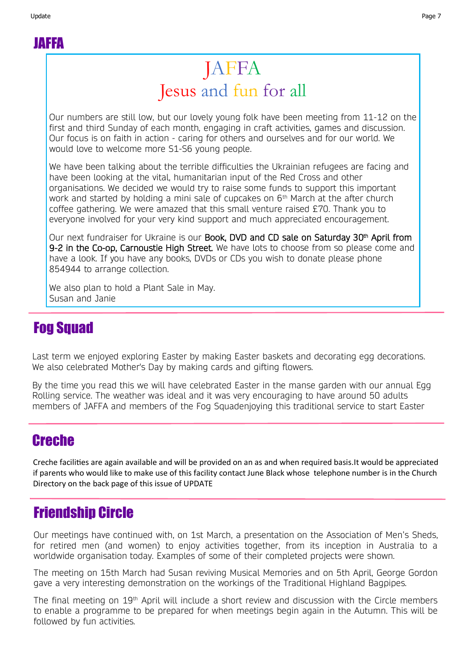JAFFA

# JAFFA Jesus and fun for all

Our numbers are still low, but our lovely young folk have been meeting from 11-12 on the first and third Sunday of each month, engaging in craft activities, games and discussion. Our focus is on faith in action - caring for others and ourselves and for our world. We would love to welcome more S1-S6 young people.

We have been talking about the terrible difficulties the Ukrainian refugees are facing and have been looking at the vital, humanitarian input of the Red Cross and other organisations. We decided we would try to raise some funds to support this important work and started by holding a mini sale of cupcakes on  $6<sup>th</sup>$  March at the after church coffee gathering. We were amazed that this small venture raised £70. Thank you to everyone involved for your very kind support and much appreciated encouragement.

Our next fundraiser for Ukraine is our **Book, DVD and CD sale on Saturday 30th April from** 9-2 in the Co-op, Carnoustie High Street. We have lots to choose from so please come and have a look. If you have any books, DVDs or CDs you wish to donate please phone 854944 to arrange collection.

We also plan to hold a Plant Sale in May. Susan and Janie

#### **Fog Squad**

Last term we enjoyed exploring Easter by making Easter baskets and decorating egg decorations. We also celebrated Mother's Day by making cards and gifting flowers.

By the time you read this we will have celebrated Easter in the manse garden with our annual Egg Rolling service. The weather was ideal and it was very encouraging to have around 50 adults members of JAFFA and members of the Fog Squadenjoying this traditional service to start Easter

#### Creche

Creche facilities are again available and will be provided on an as and when required basis.It would be appreciated if parents who would like to make use of this facility contact June Black whose telephone number is in the Church Directory on the back page of this issue of UPDATE

#### Friendship Circle

Our meetings have continued with, on 1st March, a presentation on the Association of Men's Sheds, for retired men (and women) to enjoy activities together, from its inception in Australia to a worldwide organisation today. Examples of some of their completed projects were shown.

The meeting on 15th March had Susan reviving Musical Memories and on 5th April, George Gordon gave a very interesting demonstration on the workings of the Traditional Highland Bagpipes.

The final meeting on 19<sup>th</sup> April will include a short review and discussion with the Circle members to enable a programme to be prepared for when meetings begin again in the Autumn. This will be followed by fun activities.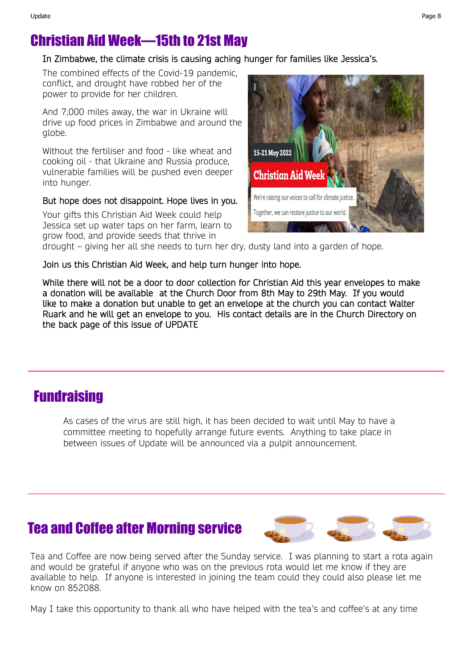#### Christian Aid Week—15th to 21st May

#### In Zimbabwe, the climate crisis is causing aching hunger for families like Jessica's.

The combined effects of the Covid-19 pandemic, conflict, and drought have robbed her of the power to provide for her children.

And 7,000 miles away, the war in Ukraine will drive up food prices in Zimbabwe and around the globe.

Without the fertiliser and food - like wheat and cooking oil - that Ukraine and Russia produce, vulnerable families will be pushed even deeper into hunger.

#### But hope does not disappoint. Hope lives in you.

Your gifts this Christian Aid Week could help Jessica set up water taps on her farm, learn to grow food, and provide seeds that thrive in



drought – giving her all she needs to turn her dry, dusty land into a garden of hope.

Join us this Christian Aid Week, and help turn hunger into hope.

While there will not be a door to door collection for Christian Aid this year envelopes to make a donation will be available at the Church Door from 8th May to 29th May. If you would like to make a donation but unable to get an envelope at the church you can contact Walter Ruark and he will get an envelope to you. His contact details are in the Church Directory on the back page of this issue of UPDATE

#### Fundraising

As cases of the virus are still high, it has been decided to wait until May to have a committee meeting to hopefully arrange future events. Anything to take place in between issues of Update will be announced via a pulpit announcement.

#### Tea and Coffee after Morning service



Tea and Coffee are now being served after the Sunday service. I was planning to start a rota again and would be grateful if anyone who was on the previous rota would let me know if they are available to help. If anyone is interested in joining the team could they could also please let me know on 852088.

May I take this opportunity to thank all who have helped with the tea's and coffee's at any time